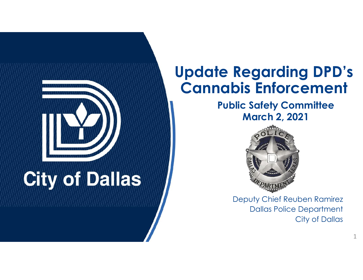

#### **Update Regarding DPD's Cannabis Enforcement**

**Public Safety Committee March 2, 2021**



Deputy Chief Reuben Ramirez Dallas Police Department City of Dallas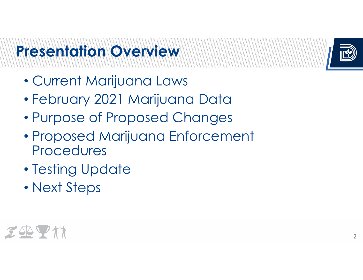## **Presentation Overview**



- •Current Marijuana Laws
- •February 2021 Marijuana Data
- •Purpose of Proposed Changes
- • Proposed Marijuana Enforcement Procedures
- •Testing Update
- Next Steps

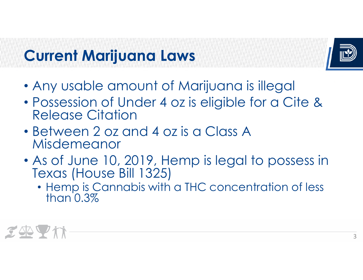#### **Current Marijuana Laws**



- Any usable amount of Marijuana is illegal
- Possession of Under 4 oz is eligible for a Cite & Release Citation
- Between 2 oz and 4 oz is a Class A Misdemeanor
- As of June 10, 2019, Hemp is legal to possess in Texas (House Bill 1325)
	- Hemp is Cannabis with a THC concentration of less than 0.3%

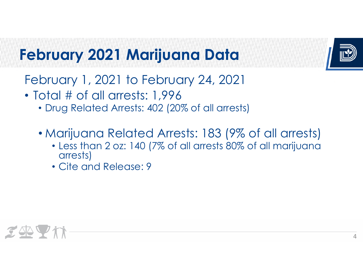

## **February 2021 Marijuana Data**

- February 1, 2021 to February 24, 2021
- Total # of all arrests: 1,996
	- Drug Related Arrests: 402 (20% of all arrests)
	- Marijuana Related Arrests: 183 (9% of all arrests)
		- Less than 2 oz: 140 (7% of all arrests 80% of all marijuana arrests)
		- Cite and Release: 9

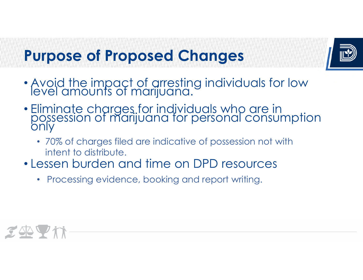#### **Purpose of Proposed Changes**



- Avoid the impact of arresting individuals for low level amounts of marijuana.
- Eliminate charges for individuals who are in<br>possession of marijuana for personal consumption<br>only
	- 70% of charges filed are indicative of possession not with intent to distribute.
- Lessen burden and time on DPD resources
	- •Processing evidence, booking and report writing.

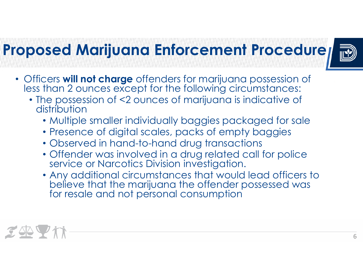### **Proposed Marijuana Enforcement Procedure**



- Officers **will not charge** offenders for marijuana possession of less than 2 ounces except for the following circumstances:
	- The possession of <2 ounces of marijuana is indicative of distribution
		- Multiple smaller individually baggies packaged for sale
		- Presence of digital scales, packs of empty baggies
		- Observed in hand-to-hand drug transactions
		- Offender was involved in a drug related call for police service or Narcotics Division investigation.
		- Any additional circumstances that would lead officers to believe that the marijuana the offender possessed was for resale and not personal consumption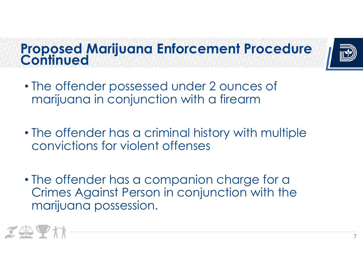**Proposed Marijuana Enforcement Procedure** 



- The offender possessed under 2 ounces of marijuana in conjunction with a firearm
- The offender has a criminal history with multiple convictions for violent offenses
- The offender has a companion charge for a Crimes Against Person in conjunction with the marijuana possession.

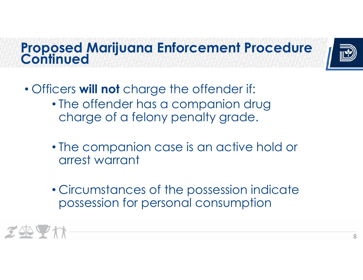**Proposed Marijuana Enforcement Procedure** 



- Officers **will not** charge the offender if:
	- The offender has a companion drug charge of a felony penalty grade.
	- The companion case is an active hold or arrest warrant
	- Circumstances of the possession indicate possession for personal consumption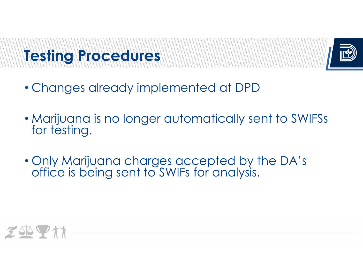### **Testing Procedures**



- Changes already implemented at DPD
- Marijuana is no longer automatically sent to SWIFSs for testing.
- Only Marijuana charges accepted by the DA's office is being sent to SWIFs for analysis.

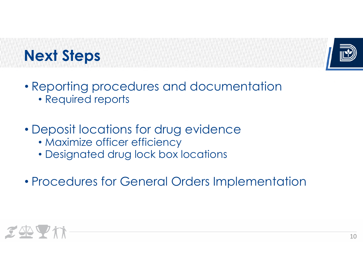# **Next Steps**



- Reporting procedures and documentation
	- Required reports
- Deposit locations for drug evidence
	- Maximize officer efficiency
	- Designated drug lock box locations
- Procedures for General Orders Implementation